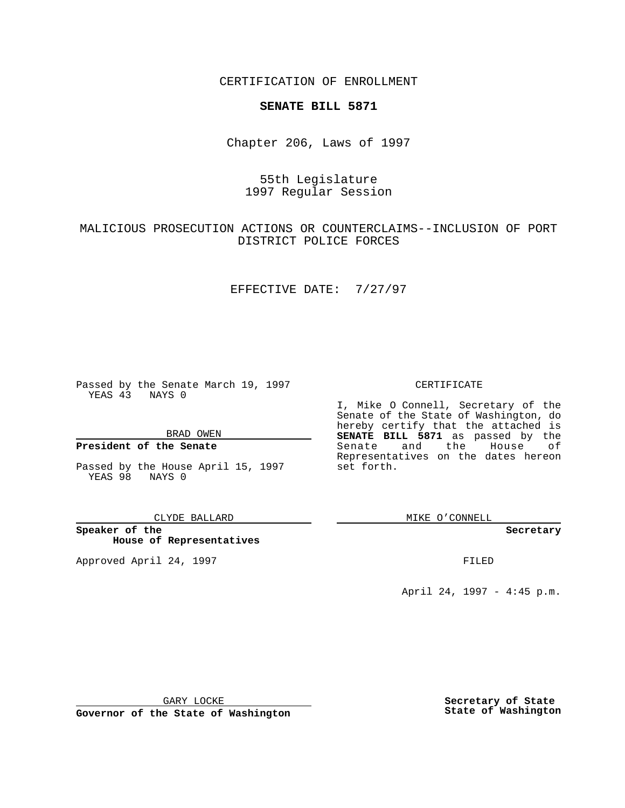CERTIFICATION OF ENROLLMENT

### **SENATE BILL 5871**

Chapter 206, Laws of 1997

## 55th Legislature 1997 Regular Session

# MALICIOUS PROSECUTION ACTIONS OR COUNTERCLAIMS--INCLUSION OF PORT DISTRICT POLICE FORCES

### EFFECTIVE DATE: 7/27/97

Passed by the Senate March 19, 1997 YEAS 43 NAYS 0

BRAD OWEN

### **President of the Senate**

Passed by the House April 15, 1997 YEAS 98 NAYS 0

CLYDE BALLARD

**Speaker of the House of Representatives**

Approved April 24, 1997 **FILED** 

#### CERTIFICATE

I, Mike O Connell, Secretary of the Senate of the State of Washington, do hereby certify that the attached is **SENATE BILL 5871** as passed by the Senate and the House of Representatives on the dates hereon set forth.

MIKE O'CONNELL

#### **Secretary**

April 24, 1997 - 4:45 p.m.

GARY LOCKE

**Governor of the State of Washington**

**Secretary of State State of Washington**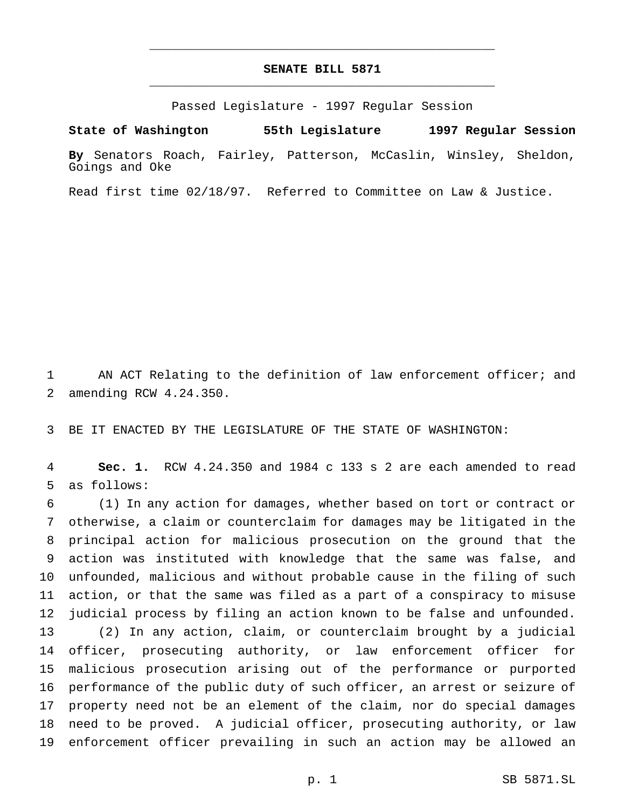# **SENATE BILL 5871** \_\_\_\_\_\_\_\_\_\_\_\_\_\_\_\_\_\_\_\_\_\_\_\_\_\_\_\_\_\_\_\_\_\_\_\_\_\_\_\_\_\_\_\_\_\_\_

\_\_\_\_\_\_\_\_\_\_\_\_\_\_\_\_\_\_\_\_\_\_\_\_\_\_\_\_\_\_\_\_\_\_\_\_\_\_\_\_\_\_\_\_\_\_\_

Passed Legislature - 1997 Regular Session

**State of Washington 55th Legislature 1997 Regular Session**

**By** Senators Roach, Fairley, Patterson, McCaslin, Winsley, Sheldon, Goings and Oke

Read first time 02/18/97. Referred to Committee on Law & Justice.

 AN ACT Relating to the definition of law enforcement officer; and amending RCW 4.24.350.

BE IT ENACTED BY THE LEGISLATURE OF THE STATE OF WASHINGTON:

 **Sec. 1.** RCW 4.24.350 and 1984 c 133 s 2 are each amended to read as follows:

 (1) In any action for damages, whether based on tort or contract or otherwise, a claim or counterclaim for damages may be litigated in the principal action for malicious prosecution on the ground that the action was instituted with knowledge that the same was false, and unfounded, malicious and without probable cause in the filing of such action, or that the same was filed as a part of a conspiracy to misuse judicial process by filing an action known to be false and unfounded. (2) In any action, claim, or counterclaim brought by a judicial officer, prosecuting authority, or law enforcement officer for malicious prosecution arising out of the performance or purported performance of the public duty of such officer, an arrest or seizure of property need not be an element of the claim, nor do special damages need to be proved. A judicial officer, prosecuting authority, or law enforcement officer prevailing in such an action may be allowed an